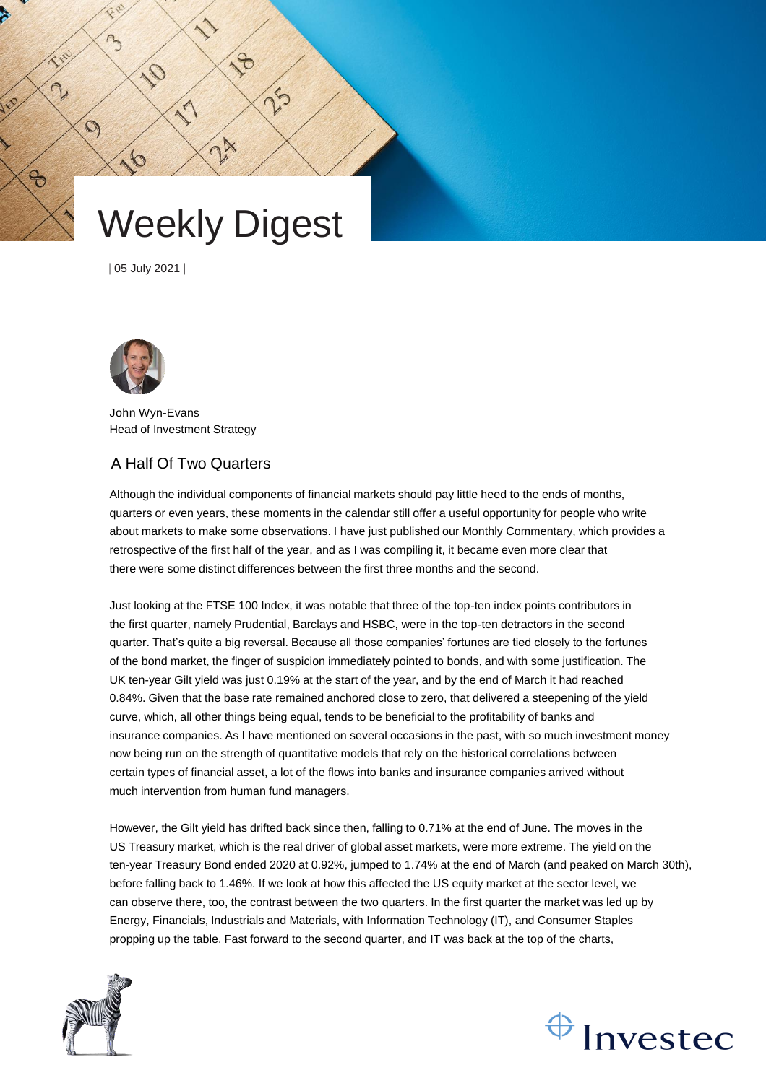# Weekly Digest

24

 $\mathcal{S}$ 

 $\zeta$ 

| 05 July 2021 |

 $\sim$ 

R

 $\mathcal{O}$ 

 $\Theta$ 



John Wyn-Evans Head of Investment Strategy

# A Half Of Two Quarters

Although the individual components of financial markets should pay little heed to the ends of months, quarters or even years, these moments in the calendar still offer a useful opportunity for people who write about markets to make some observations. I have just published our Monthly Commentary, which provides a retrospective of the first half of the year, and as I was compiling it, it became even more clear that there were some distinct differences between the first three months and the second.

Just looking at the FTSE 100 Index, it was notable that three of the top-ten index points contributors in the first quarter, namely Prudential, Barclays and HSBC, were in the top-ten detractors in the second quarter. That's quite a big reversal. Because all those companies' fortunes are tied closely to the fortunes of the bond market, the finger of suspicion immediately pointed to bonds, and with some justification. The UK ten-year Gilt yield was just 0.19% at the start of the year, and by the end of March it had reached 0.84%. Given that the base rate remained anchored close to zero, that delivered a steepening of the yield curve, which, all other things being equal, tends to be beneficial to the profitability of banks and insurance companies. As I have mentioned on several occasions in the past, with so much investment money now being run on the strength of quantitative models that rely on the historical correlations between certain types of financial asset, a lot of the flows into banks and insurance companies arrived without much intervention from human fund managers.

However, the Gilt yield has drifted back since then, falling to 0.71% at the end of June. The moves in the US Treasury market, which is the real driver of global asset markets, were more extreme. The yield on the ten-year Treasury Bond ended 2020 at 0.92%, jumped to 1.74% at the end of March (and peaked on March 30th), before falling back to 1.46%. If we look at how this affected the US equity market at the sector level, we can observe there, too, the contrast between the two quarters. In the first quarter the market was led up by Energy, Financials, Industrials and Materials, with Information Technology (IT), and Consumer Staples propping up the table. Fast forward to the second quarter, and IT was back at the top of the charts,



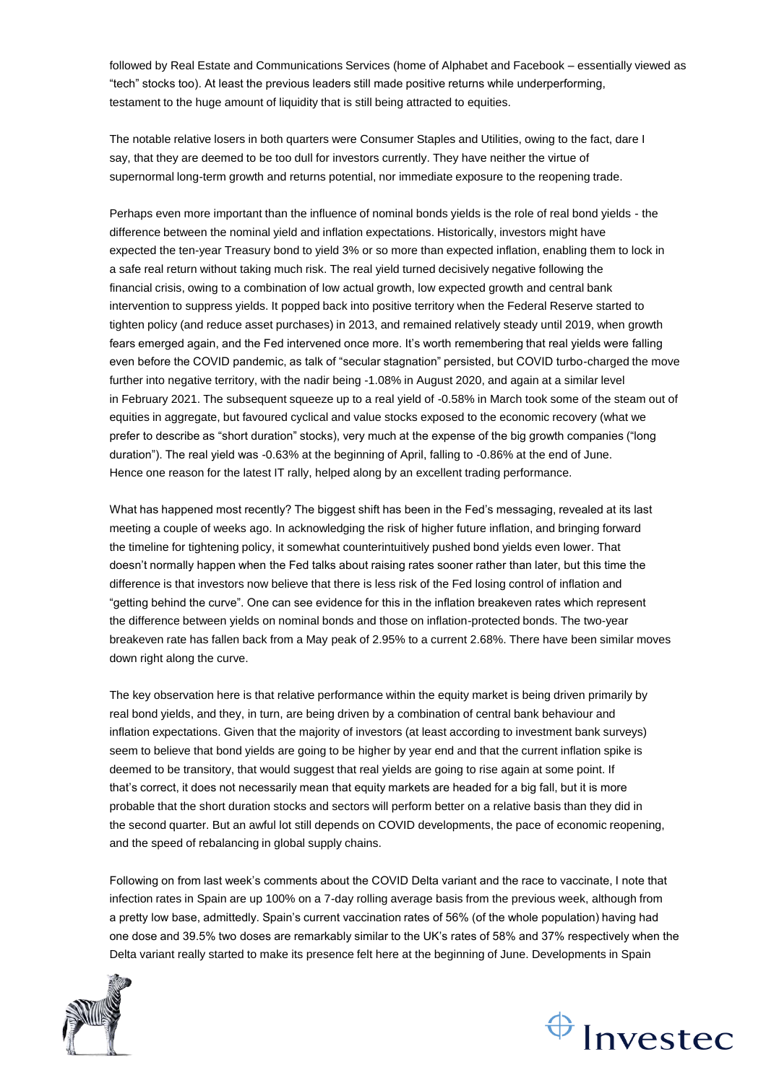followed by Real Estate and Communications Services (home of Alphabet and Facebook – essentially viewed as "tech" stocks too). At least the previous leaders still made positive returns while underperforming, testament to the huge amount of liquidity that is still being attracted to equities.

The notable relative losers in both quarters were Consumer Staples and Utilities, owing to the fact, dare I say, that they are deemed to be too dull for investors currently. They have neither the virtue of supernormal long-term growth and returns potential, nor immediate exposure to the reopening trade.

Perhaps even more important than the influence of nominal bonds yields is the role of real bond yields - the difference between the nominal yield and inflation expectations. Historically, investors might have expected the ten-year Treasury bond to yield 3% or so more than expected inflation, enabling them to lock in a safe real return without taking much risk. The real yield turned decisively negative following the financial crisis, owing to a combination of low actual growth, low expected growth and central bank intervention to suppress yields. It popped back into positive territory when the Federal Reserve started to tighten policy (and reduce asset purchases) in 2013, and remained relatively steady until 2019, when growth fears emerged again, and the Fed intervened once more. It's worth remembering that real yields were falling even before the COVID pandemic, as talk of "secular stagnation" persisted, but COVID turbo-charged the move further into negative territory, with the nadir being -1.08% in August 2020, and again at a similar level in February 2021. The subsequent squeeze up to a real yield of -0.58% in March took some of the steam out of equities in aggregate, but favoured cyclical and value stocks exposed to the economic recovery (what we prefer to describe as "short duration" stocks), very much at the expense of the big growth companies ("long duration"). The real yield was -0.63% at the beginning of April, falling to -0.86% at the end of June. Hence one reason for the latest IT rally, helped along by an excellent trading performance.

What has happened most recently? The biggest shift has been in the Fed's messaging, revealed at its last meeting a couple of weeks ago. In acknowledging the risk of higher future inflation, and bringing forward the timeline for tightening policy, it somewhat counterintuitively pushed bond yields even lower. That doesn't normally happen when the Fed talks about raising rates sooner rather than later, but this time the difference is that investors now believe that there is less risk of the Fed losing control of inflation and "getting behind the curve". One can see evidence for this in the inflation breakeven rates which represent the difference between yields on nominal bonds and those on inflation-protected bonds. The two-year breakeven rate has fallen back from a May peak of 2.95% to a current 2.68%. There have been similar moves down right along the curve.

The key observation here is that relative performance within the equity market is being driven primarily by real bond yields, and they, in turn, are being driven by a combination of central bank behaviour and inflation expectations. Given that the majority of investors (at least according to investment bank surveys) seem to believe that bond yields are going to be higher by year end and that the current inflation spike is deemed to be transitory, that would suggest that real yields are going to rise again at some point. If that's correct, it does not necessarily mean that equity markets are headed for a big fall, but it is more probable that the short duration stocks and sectors will perform better on a relative basis than they did in the second quarter. But an awful lot still depends on COVID developments, the pace of economic reopening, and the speed of rebalancing in global supply chains.

Following on from last week's comments about the COVID Delta variant and the race to vaccinate, I note that infection rates in Spain are up 100% on a 7-day rolling average basis from the previous week, although from a pretty low base, admittedly. Spain's current vaccination rates of 56% (of the whole population) having had one dose and 39.5% two doses are remarkably similar to the UK's rates of 58% and 37% respectively when the Delta variant really started to make its presence felt here at the beginning of June. Developments in Spain



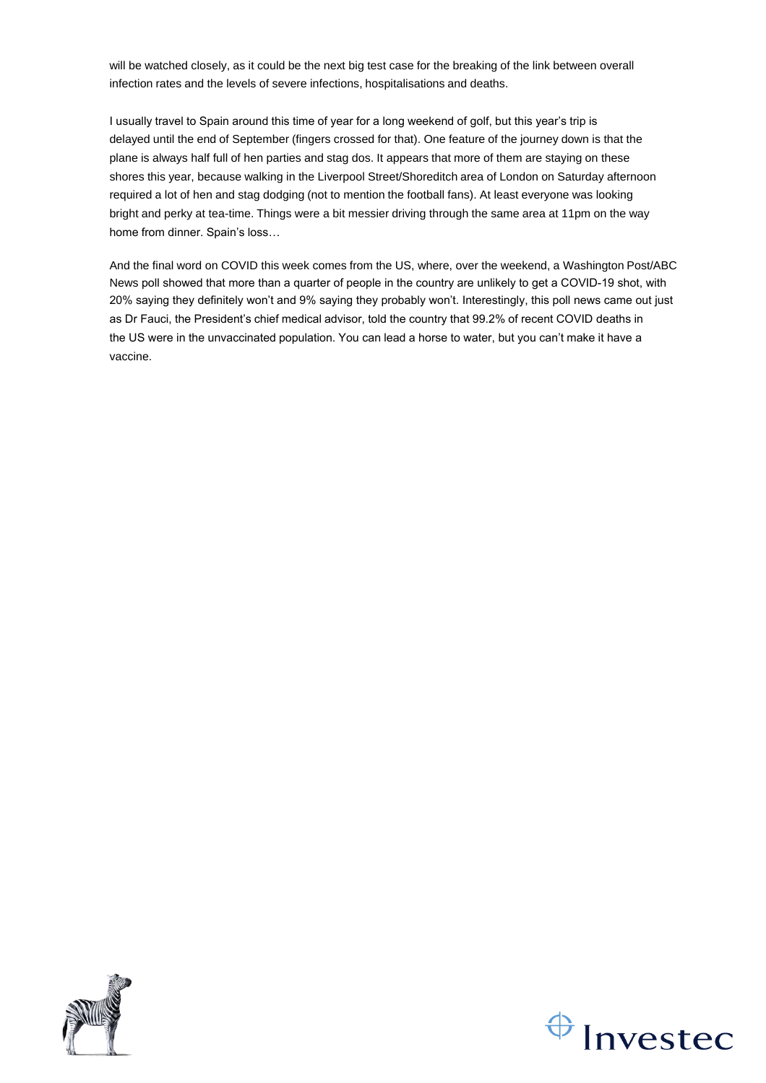will be watched closely, as it could be the next big test case for the breaking of the link between overall infection rates and the levels of severe infections, hospitalisations and deaths.

I usually travel to Spain around this time of year for a long weekend of golf, but this year's trip is delayed until the end of September (fingers crossed for that). One feature of the journey down is that the plane is always half full of hen parties and stag dos. It appears that more of them are staying on these shores this year, because walking in the Liverpool Street/Shoreditch area of London on Saturday afternoon required a lot of hen and stag dodging (not to mention the football fans). At least everyone was looking bright and perky at tea-time. Things were a bit messier driving through the same area at 11pm on the way home from dinner. Spain's loss…

And the final word on COVID this week comes from the US, where, over the weekend, a Washington Post/ABC News poll showed that more than a quarter of people in the country are unlikely to get a COVID-19 shot, with 20% saying they definitely won't and 9% saying they probably won't. Interestingly, this poll news came out just as Dr Fauci, the President's chief medical advisor, told the country that 99.2% of recent COVID deaths in the US were in the unvaccinated population. You can lead a horse to water, but you can't make it have a vaccine.